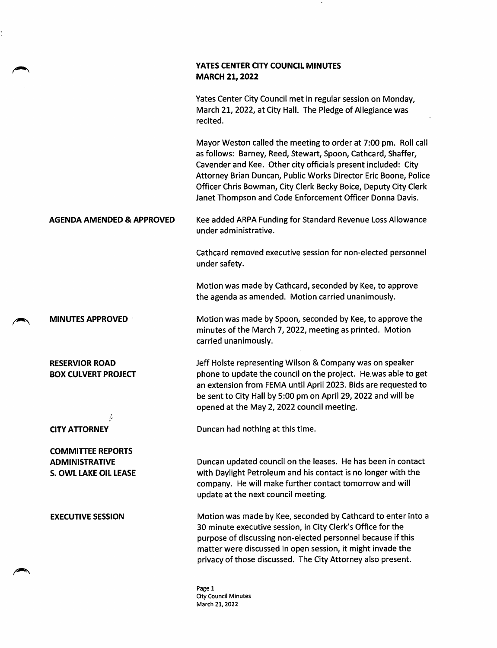## YATES CENTER CITY COUNCIL MINUTES **MARCH 21, 2022**

Yates Center City Council met in regular session on Monday, March 21, 2022, at City Hall. The Pledge of Allegiance was recited.

Mayor Weston called the meeting to order at 7:00 pm. Roll call as follows: Barney, Reed, Stewart, Spoon, Cathcard, Shaffer, Cavender and Kee. Other city officials present included: City Attorney Brian Duncan, Public Works Director Eric Boone, Police Officer Chris Bowman, City Clerk Becky Boice, Deputy City Clerk Janet Thompson and Code Enforcement Officer Donna Davis.

AGENDA AMENDED & APPROVED Kee added ARPA Funding for Standard Revenue Loss Allowance under administrative.

> Cathcard removed executive session for non-elected personnel under safety.

Motion was made by Cathcard, seconded by Kee, to approve the agenda as amended. Motion carried unanimously.

MINUTES APPROVED Motion was made by Spoon, seconded by Kee, to approve the minutes of the March 7, 2022, meeting as printed. Motion carried unanimously.

> Jeff Holste representing Wilson & Company was on speaker phone to update the council on the project. He was able to get an extension from FEMA until April 2023. Bids are requested to be sent to City Hall by 5:00 pm on April 29, 2022 and will be opened at the May 2, 2022 council meeting.

RESERVIOR ROAD BOX CULVERT PROJECT

COMMITTEE REPORTS ADMINISTRATIVE S. OWL LAKE OIL LEASE

CITY ATTORNEY Duncan had nothing at this time.

Duncan updated council on the leases. He has been in contact with Daylight Petroleum and his contact is no longer with the company. He will make further contact tomorrow and will update at the next council meeting.

EXECUTIVE SESSION Motion was made by Kee, seconded by Cathcard to enter into a 30 minute executive session, in City Clerk's Office for the purpose of discussing non-elected personnel because if this matter were discussed in open session, it might invade the privacy of those discussed. The City Attorney also present.

> Page 1 City Council Minutes March 21,2022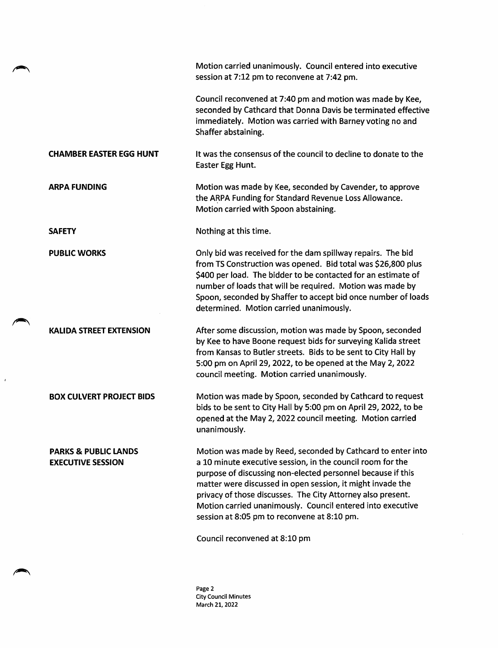|                                                             | Motion carried unanimously. Council entered into executive<br>session at 7:12 pm to reconvene at 7:42 pm.                                                                                                                                                                                                                                                                                                                                                           |
|-------------------------------------------------------------|---------------------------------------------------------------------------------------------------------------------------------------------------------------------------------------------------------------------------------------------------------------------------------------------------------------------------------------------------------------------------------------------------------------------------------------------------------------------|
|                                                             | Council reconvened at 7:40 pm and motion was made by Kee,<br>seconded by Cathcard that Donna Davis be terminated effective<br>immediately. Motion was carried with Barney voting no and<br>Shaffer abstaining.                                                                                                                                                                                                                                                      |
| <b>CHAMBER EASTER EGG HUNT</b>                              | It was the consensus of the council to decline to donate to the<br>Easter Egg Hunt.                                                                                                                                                                                                                                                                                                                                                                                 |
| <b>ARPA FUNDING</b>                                         | Motion was made by Kee, seconded by Cavender, to approve<br>the ARPA Funding for Standard Revenue Loss Allowance.<br>Motion carried with Spoon abstaining.                                                                                                                                                                                                                                                                                                          |
| <b>SAFETY</b>                                               | Nothing at this time.                                                                                                                                                                                                                                                                                                                                                                                                                                               |
| <b>PUBLIC WORKS</b>                                         | Only bid was received for the dam spillway repairs. The bid<br>from TS Construction was opened. Bid total was \$26,800 plus<br>\$400 per load. The bidder to be contacted for an estimate of<br>number of loads that will be required. Motion was made by<br>Spoon, seconded by Shaffer to accept bid once number of loads<br>determined. Motion carried unanimously.                                                                                               |
| <b>KALIDA STREET EXTENSION</b>                              | After some discussion, motion was made by Spoon, seconded<br>by Kee to have Boone request bids for surveying Kalida street<br>from Kansas to Butler streets. Bids to be sent to City Hall by<br>5:00 pm on April 29, 2022, to be opened at the May 2, 2022<br>council meeting. Motion carried unanimously.                                                                                                                                                          |
| <b>BOX CULVERT PROJECT BIDS</b>                             | Motion was made by Spoon, seconded by Cathcard to request<br>bids to be sent to City Hall by 5:00 pm on April 29, 2022, to be<br>opened at the May 2, 2022 council meeting. Motion carried<br>unanimously.                                                                                                                                                                                                                                                          |
| <b>PARKS &amp; PUBLIC LANDS</b><br><b>EXECUTIVE SESSION</b> | Motion was made by Reed, seconded by Cathcard to enter into<br>a 10 minute executive session, in the council room for the<br>purpose of discussing non-elected personnel because if this<br>matter were discussed in open session, it might invade the<br>privacy of those discusses. The City Attorney also present.<br>Motion carried unanimously. Council entered into executive<br>session at 8:05 pm to reconvene at 8:10 pm.<br>Council reconvened at 8:10 pm |

 $\mathbf{r}$ 

Page 2 City Council Minutes March 21, 2022

 $\hat{\mathcal{L}}$